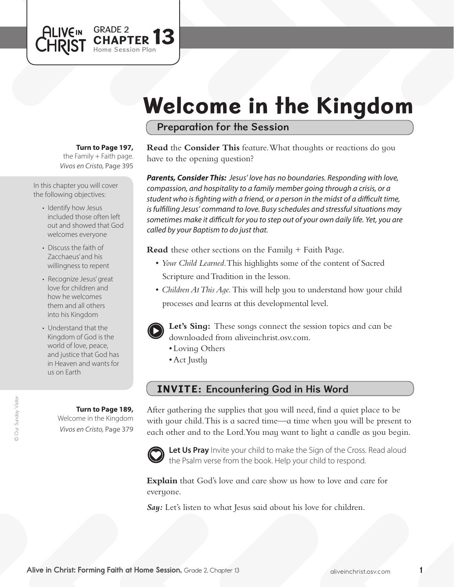# Welcome in the Kingdom

Preparation for the Session

**Turn to Page 197,** 

GRADE 2

Session Plan

PTER  ${\bf 13}$ 

the Family  $+$  Faith page. *Vivos en Cristo,* Page 395

In this chapter you will cover the following objectives:

**ALIVEIN** 

CHRIST

- Identify how Jesus included those often left out and showed that God welcomes everyone
- Discuss the faith of Zacchaeus' and his willingness to repent
- Recognize Jesus'great love for children and how he welcomes them and all others into his Kingdom
- Understand that the Kingdom of God is the world of love, peace, and justice that God has in Heaven and wants for us on Earth

#### **Turn to Page 189,**

Welcome in the Kingdom *Vivos en Cristo,* Page 379 **Read** the **Consider This** feature. What thoughts or reactions do you have to the opening question?

*Parents, Consider This: Jesus' love has no boundaries. Responding with love, compassion, and hospitality to a family member going through a crisis, or a student who is fighting with a friend, or a person in the midst of a difficult time, is fulfilling Jesus' command to love. Busy schedules and stressful situations may sometimes make it difficult for you to step out of your own daily life. Yet, you are called by your Baptism to do just that.* 

**Read** these other sections on the Family + Faith Page.

- *Your Child Learned*. This highlights some of the content of Sacred Scripture and Tradition in the lesson.
- *Children At This Aqe*. This will help you to understand how your child processes and learns at this developmental level.



**Let's Sing:** These songs connect the session topics and can be downloaded from aliveinchrist.osv.com.

- Loving Others
- Act Justly

### INVITE: Encountering God in His Word

After gathering the supplies that you will need, find a quiet place to be with your child. This is a sacred time—a time when you will be present to each other and to the Lord.You may want to light a candle as you begin.



Let Us Pray Invite your child to make the Sign of the Cross. Read aloud the Psalm verse from the book. Help your child to respond.

**Explain** that God's love and care show us how to love and care for everyone.

*Say:* Let's listen to what Jesus said about his love for children.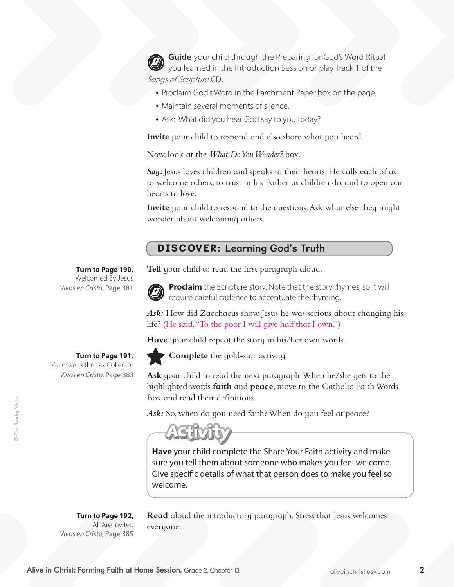**Guide** your child through the Preparing for God's Word Ritual you learned in the Introduction Session or play Track 1 of the Songs of Scripture CD.

- Proclaim God's Word in the Parchment Paper box on the page.
- Maintain several moments of silence.
- Ask: What did you hear God say to you today?

**Invite** your child to respond and also share what you heard.

Now, look at the *What Do You Wonder?* box.

Sau: Jesus loves children and speaks to their hearts. He calls each of us to welcome others, to trust in his Father as children do, and to open our hearts to love.

**Invite** your child to respond to the questions. Ask what else they might wonder about welcoming others.

## DISCOVER: Learning God's Truth

#### **Turn to Page 190,**

Welcomed By Jesus *Vivos en Cristo,* Page 381

**Turn to Page 191,** 

Zacchaeus the Tax Collector *Vivos en Cristo,* Page 383

**Turn to Page 192,** All Are Invited *Vivos en Cristo,* Page 385

**Read** aloud the introductory paragraph. Stress that Jesus welcomes everyone.

**Tell** your child to read the first paragraph aloud.



**Proclaim** the Scripture story. Note that the story rhymes, so it will require careful cadence to accentuate the rhyming.

*Ask:* How did Zacchaeus show Jesus he was serious about changing his life? (He said,"To the poor I will give half that I own.")

Have your child repeat the story in his/her own words.



**Complete** the gold-star activity.

**Ask** your child to read the next paragraph. When he/she gets to the highlighted words **faith** and **peace**, move to the Catholic Faith Words Box and read their definitions.

Ask: So, when do you need faith? When do you feel at peace?



**Have** your child complete the Share Your Faith activity and make sure you tell them about someone who makes you feel welcome. Give specific details of what that person does to make you feel so welcome.

Alive in Christ: Forming Faith at Home Session, Grade 2, Chapter 13 aliveinchrist.osv.com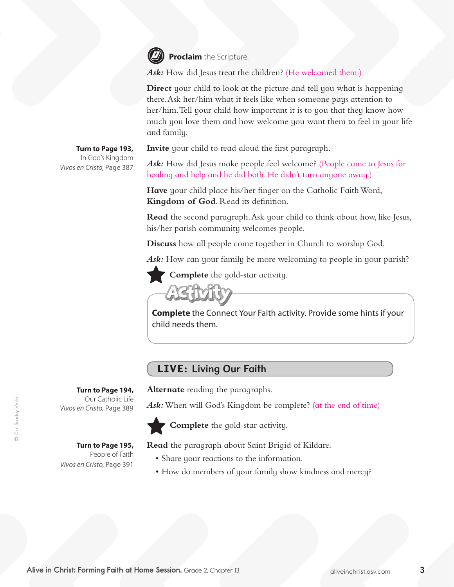

**Proclaim** the Scripture.

Ask: How did Jesus treat the children? (He welcomed them.)

**Direct** your child to look at the picture and tell you what is happening there.Ask her/him what it feels like when someone pays attention to her/him.Tell your child how important it is to you that they know how much you love them and how welcome you want them to feel in your life and family.

**Invite** your child to read aloud the first paragraph.

**Turn to Page 193,** In God's Kingdom *Vivos en Cristo,* Page 387

> **Turn to Page 194,**  Our Catholic Life

*Vivos en Cristo,* Page 389

*Vivos en Cristo,* Page 391

**Turn to Page 195,**  People of Faith Ask: How did Jesus make people feel welcome? (People came to Jesus for healing and help and he did both. He didn't turn anyone away.)

Have your child place his/her finger on the Catholic Faith Word, **Kingdom of God**. Read its definition.

**Read** the second paragraph. Ask your child to think about how, like Jesus, his/her parish community welcomes people.

**Discuss** how all people come together in Church to worship God.

Ask: How can your family be more welcoming to people in your parish?

**Complete** the gold-star activity.

**Complete** the Connect Your Faith activity. Provide some hints if your child needs them.

## LIVE: Living Our Faith

**Alternate** reading the paragraphs.

Ask: When will God's Kingdom be complete? (at the end of time)



**Complete** the gold-star activity.

**Read** the paragraph about Saint Brigid of Kildare.

- Share your reactions to the information.
- How do members of your family show kindness and mercy?